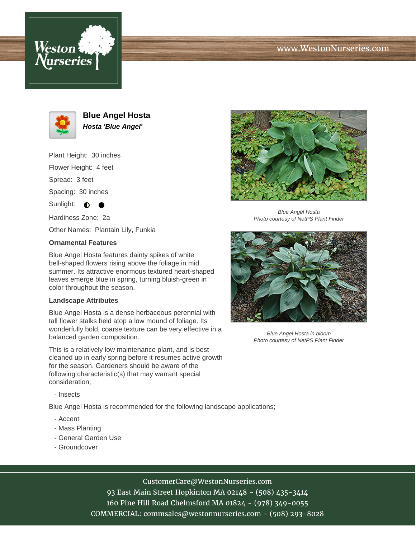



**Blue Angel Hosta Hosta 'Blue Angel'**

Plant Height: 30 inches

Flower Height: 4 feet

Spread: 3 feet

Spacing: 30 inches

Sunlight:  $\bigcirc$ 

Hardiness Zone: 2a

Other Names: Plantain Lily, Funkia

## **Ornamental Features**

Blue Angel Hosta features dainty spikes of white bell-shaped flowers rising above the foliage in mid summer. Its attractive enormous textured heart-shaped leaves emerge blue in spring, turning bluish-green in color throughout the season.

## **Landscape Attributes**

Blue Angel Hosta is a dense herbaceous perennial with tall flower stalks held atop a low mound of foliage. Its wonderfully bold, coarse texture can be very effective in a balanced garden composition.

This is a relatively low maintenance plant, and is best cleaned up in early spring before it resumes active growth for the season. Gardeners should be aware of the following characteristic(s) that may warrant special consideration;

- Insects

Blue Angel Hosta is recommended for the following landscape applications;

- Accent
- Mass Planting
- General Garden Use
- Groundcover



Blue Angel Hosta Photo courtesy of NetPS Plant Finder



Blue Angel Hosta in bloom Photo courtesy of NetPS Plant Finder

CustomerCare@WestonNurseries.com

93 East Main Street Hopkinton MA 02148 - (508) 435-3414 160 Pine Hill Road Chelmsford MA 01824 - (978) 349-0055 COMMERCIAL: commsales@westonnurseries.com - (508) 293-8028